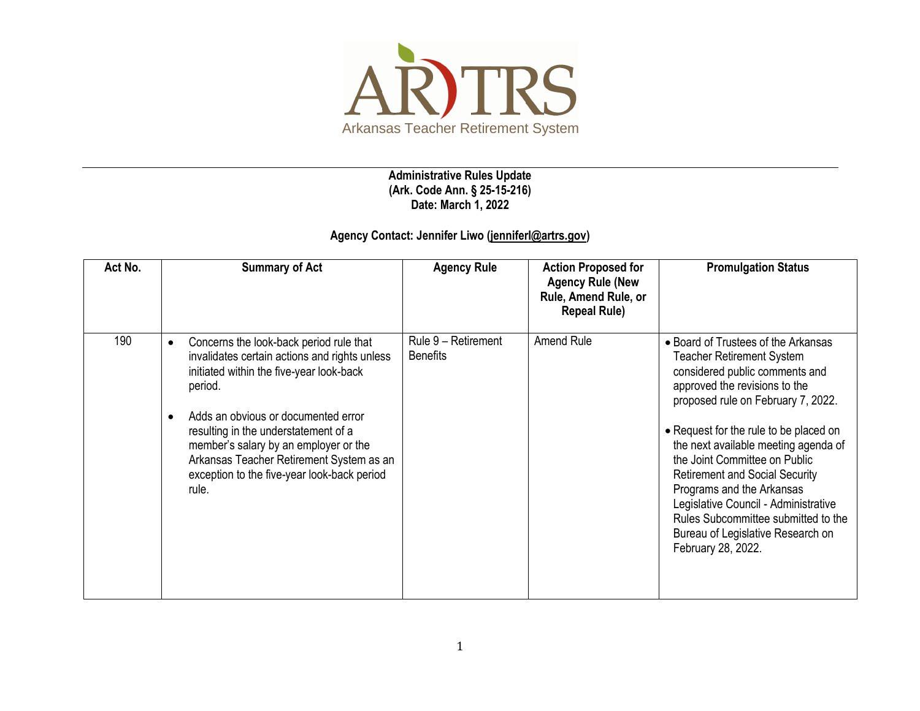

**Administrative Rules Update (Ark. Code Ann. § 25-15-216) Date: March 1, 2022**

## **Agency Contact: Jennifer Liwo [\(jenniferl@artrs.gov\)](mailto:jenniferl@artrs.gov)**

| Act No. | <b>Summary of Act</b>                                                                                                                                                                                                                                                                                                                                                                                 | <b>Agency Rule</b>                     | <b>Action Proposed for</b><br><b>Agency Rule (New</b><br>Rule, Amend Rule, or<br><b>Repeal Rule)</b> | <b>Promulgation Status</b>                                                                                                                                                                                                                                                                                                                                                                                                                                                                                          |
|---------|-------------------------------------------------------------------------------------------------------------------------------------------------------------------------------------------------------------------------------------------------------------------------------------------------------------------------------------------------------------------------------------------------------|----------------------------------------|------------------------------------------------------------------------------------------------------|---------------------------------------------------------------------------------------------------------------------------------------------------------------------------------------------------------------------------------------------------------------------------------------------------------------------------------------------------------------------------------------------------------------------------------------------------------------------------------------------------------------------|
| 190     | Concerns the look-back period rule that<br>$\bullet$<br>invalidates certain actions and rights unless<br>initiated within the five-year look-back<br>period.<br>Adds an obvious or documented error<br>$\bullet$<br>resulting in the understatement of a<br>member's salary by an employer or the<br>Arkansas Teacher Retirement System as an<br>exception to the five-year look-back period<br>rule. | Rule 9 - Retirement<br><b>Benefits</b> | Amend Rule                                                                                           | • Board of Trustees of the Arkansas<br><b>Teacher Retirement System</b><br>considered public comments and<br>approved the revisions to the<br>proposed rule on February 7, 2022.<br>• Request for the rule to be placed on<br>the next available meeting agenda of<br>the Joint Committee on Public<br><b>Retirement and Social Security</b><br>Programs and the Arkansas<br>Legislative Council - Administrative<br>Rules Subcommittee submitted to the<br>Bureau of Legislative Research on<br>February 28, 2022. |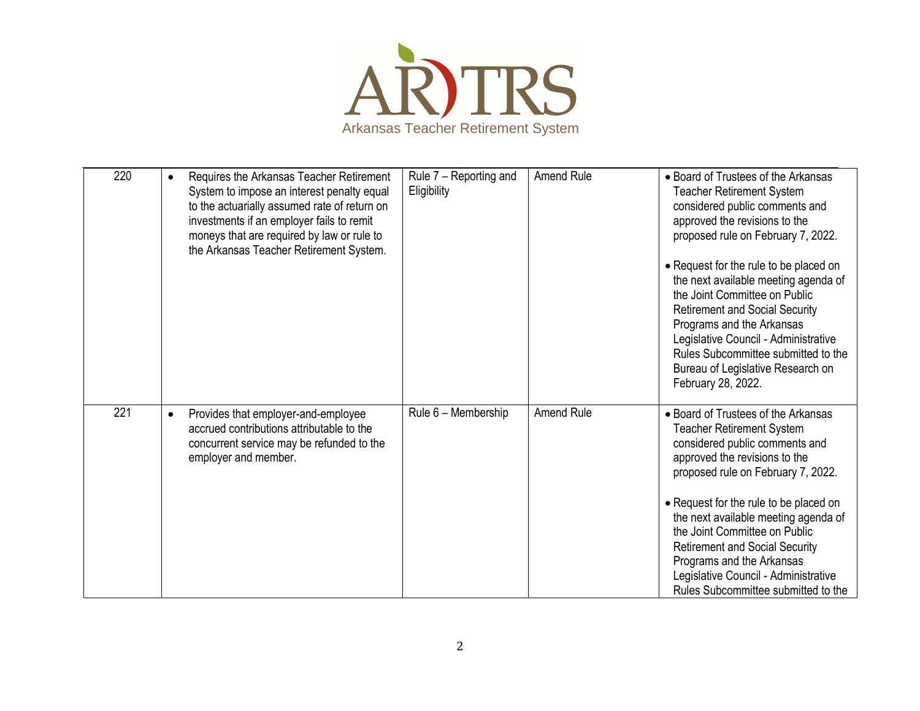

| 220 | Requires the Arkansas Teacher Retirement<br>$\bullet$<br>System to impose an interest penalty equal<br>to the actuarially assumed rate of return on<br>investments if an employer fails to remit<br>moneys that are required by law or rule to<br>the Arkansas Teacher Retirement System. | Rule 7 - Reporting and<br>Eligibility | Amend Rule | • Board of Trustees of the Arkansas<br><b>Teacher Retirement System</b><br>considered public comments and<br>approved the revisions to the<br>proposed rule on February 7, 2022.<br>• Request for the rule to be placed on<br>the next available meeting agenda of<br>the Joint Committee on Public<br><b>Retirement and Social Security</b><br>Programs and the Arkansas<br>Legislative Council - Administrative<br>Rules Subcommittee submitted to the<br>Bureau of Legislative Research on<br>February 28, 2022. |
|-----|-------------------------------------------------------------------------------------------------------------------------------------------------------------------------------------------------------------------------------------------------------------------------------------------|---------------------------------------|------------|---------------------------------------------------------------------------------------------------------------------------------------------------------------------------------------------------------------------------------------------------------------------------------------------------------------------------------------------------------------------------------------------------------------------------------------------------------------------------------------------------------------------|
| 221 | Provides that employer-and-employee<br>$\bullet$<br>accrued contributions attributable to the<br>concurrent service may be refunded to the<br>employer and member.                                                                                                                        | Rule 6 - Membership                   | Amend Rule | • Board of Trustees of the Arkansas<br>Teacher Retirement System<br>considered public comments and<br>approved the revisions to the<br>proposed rule on February 7, 2022.<br>• Request for the rule to be placed on<br>the next available meeting agenda of<br>the Joint Committee on Public<br><b>Retirement and Social Security</b><br>Programs and the Arkansas<br>Legislative Council - Administrative<br>Rules Subcommittee submitted to the                                                                   |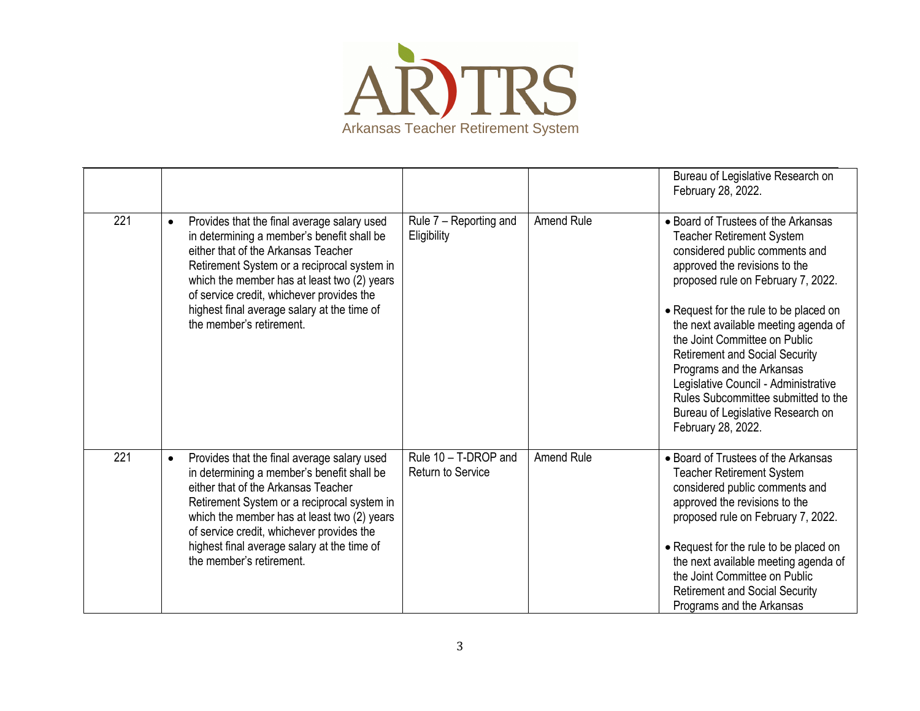

|     |                                                                                                                                                                                                                                                                                                                                                                     |                                                  |                   | Bureau of Legislative Research on<br>February 28, 2022.                                                                                                                                                                                                                                                                                                                                                                                                                                                             |
|-----|---------------------------------------------------------------------------------------------------------------------------------------------------------------------------------------------------------------------------------------------------------------------------------------------------------------------------------------------------------------------|--------------------------------------------------|-------------------|---------------------------------------------------------------------------------------------------------------------------------------------------------------------------------------------------------------------------------------------------------------------------------------------------------------------------------------------------------------------------------------------------------------------------------------------------------------------------------------------------------------------|
| 221 | Provides that the final average salary used<br>$\bullet$<br>in determining a member's benefit shall be<br>either that of the Arkansas Teacher<br>Retirement System or a reciprocal system in<br>which the member has at least two (2) years<br>of service credit, whichever provides the<br>highest final average salary at the time of<br>the member's retirement. | Rule 7 - Reporting and<br>Eligibility            | <b>Amend Rule</b> | • Board of Trustees of the Arkansas<br><b>Teacher Retirement System</b><br>considered public comments and<br>approved the revisions to the<br>proposed rule on February 7, 2022.<br>• Request for the rule to be placed on<br>the next available meeting agenda of<br>the Joint Committee on Public<br><b>Retirement and Social Security</b><br>Programs and the Arkansas<br>Legislative Council - Administrative<br>Rules Subcommittee submitted to the<br>Bureau of Legislative Research on<br>February 28, 2022. |
| 221 | Provides that the final average salary used<br>$\bullet$<br>in determining a member's benefit shall be<br>either that of the Arkansas Teacher<br>Retirement System or a reciprocal system in<br>which the member has at least two (2) years<br>of service credit, whichever provides the<br>highest final average salary at the time of<br>the member's retirement. | Rule 10 - T-DROP and<br><b>Return to Service</b> | <b>Amend Rule</b> | • Board of Trustees of the Arkansas<br><b>Teacher Retirement System</b><br>considered public comments and<br>approved the revisions to the<br>proposed rule on February 7, 2022.<br>• Request for the rule to be placed on<br>the next available meeting agenda of<br>the Joint Committee on Public<br><b>Retirement and Social Security</b><br>Programs and the Arkansas                                                                                                                                           |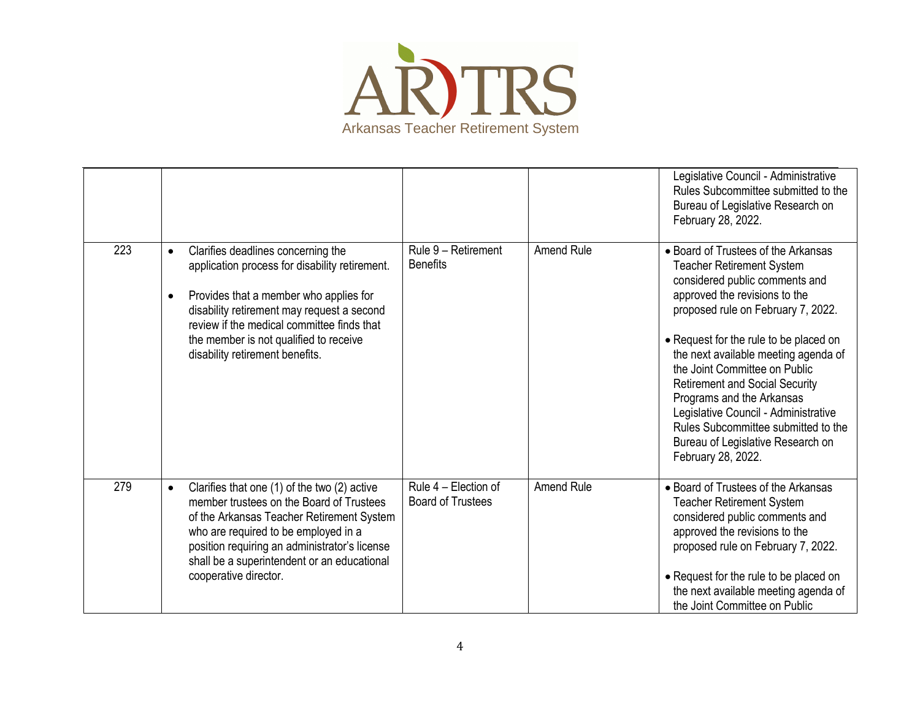

|     |                                                                                                                                                                                                                                                                                                                                   |                                                  |                   | Legislative Council - Administrative<br>Rules Subcommittee submitted to the<br>Bureau of Legislative Research on<br>February 28, 2022.                                                                                                                                                                                                                                                                                                                                                                              |
|-----|-----------------------------------------------------------------------------------------------------------------------------------------------------------------------------------------------------------------------------------------------------------------------------------------------------------------------------------|--------------------------------------------------|-------------------|---------------------------------------------------------------------------------------------------------------------------------------------------------------------------------------------------------------------------------------------------------------------------------------------------------------------------------------------------------------------------------------------------------------------------------------------------------------------------------------------------------------------|
| 223 | Clarifies deadlines concerning the<br>$\bullet$<br>application process for disability retirement.<br>Provides that a member who applies for<br>$\bullet$<br>disability retirement may request a second<br>review if the medical committee finds that<br>the member is not qualified to receive<br>disability retirement benefits. | Rule 9 - Retirement<br><b>Benefits</b>           | <b>Amend Rule</b> | • Board of Trustees of the Arkansas<br><b>Teacher Retirement System</b><br>considered public comments and<br>approved the revisions to the<br>proposed rule on February 7, 2022.<br>• Request for the rule to be placed on<br>the next available meeting agenda of<br>the Joint Committee on Public<br><b>Retirement and Social Security</b><br>Programs and the Arkansas<br>Legislative Council - Administrative<br>Rules Subcommittee submitted to the<br>Bureau of Legislative Research on<br>February 28, 2022. |
| 279 | Clarifies that one (1) of the two (2) active<br>$\bullet$<br>member trustees on the Board of Trustees<br>of the Arkansas Teacher Retirement System<br>who are required to be employed in a<br>position requiring an administrator's license<br>shall be a superintendent or an educational<br>cooperative director.               | Rule 4 - Election of<br><b>Board of Trustees</b> | <b>Amend Rule</b> | • Board of Trustees of the Arkansas<br><b>Teacher Retirement System</b><br>considered public comments and<br>approved the revisions to the<br>proposed rule on February 7, 2022.<br>• Request for the rule to be placed on<br>the next available meeting agenda of<br>the Joint Committee on Public                                                                                                                                                                                                                 |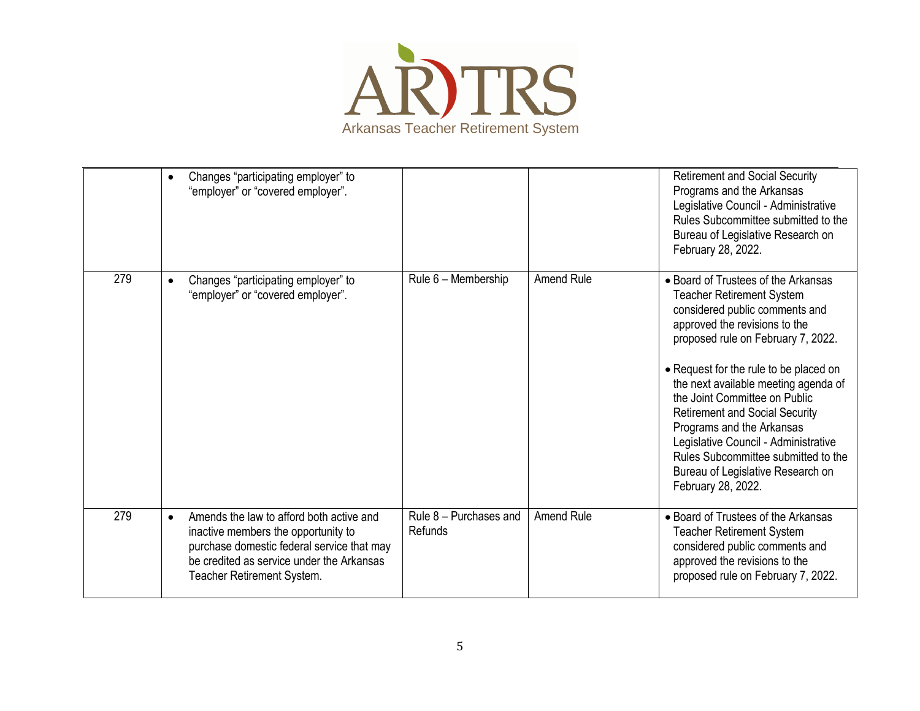

|     | $\bullet$ | Changes "participating employer" to<br>"employer" or "covered employer".                                                                                                                                 |                                     |                   | <b>Retirement and Social Security</b><br>Programs and the Arkansas<br>Legislative Council - Administrative<br>Rules Subcommittee submitted to the<br>Bureau of Legislative Research on<br>February 28, 2022.                                                                                                                                                                                                                                                                                                        |
|-----|-----------|----------------------------------------------------------------------------------------------------------------------------------------------------------------------------------------------------------|-------------------------------------|-------------------|---------------------------------------------------------------------------------------------------------------------------------------------------------------------------------------------------------------------------------------------------------------------------------------------------------------------------------------------------------------------------------------------------------------------------------------------------------------------------------------------------------------------|
| 279 | $\bullet$ | Changes "participating employer" to<br>"employer" or "covered employer".                                                                                                                                 | Rule 6 - Membership                 | <b>Amend Rule</b> | • Board of Trustees of the Arkansas<br><b>Teacher Retirement System</b><br>considered public comments and<br>approved the revisions to the<br>proposed rule on February 7, 2022.<br>• Request for the rule to be placed on<br>the next available meeting agenda of<br>the Joint Committee on Public<br><b>Retirement and Social Security</b><br>Programs and the Arkansas<br>Legislative Council - Administrative<br>Rules Subcommittee submitted to the<br>Bureau of Legislative Research on<br>February 28, 2022. |
| 279 | $\bullet$ | Amends the law to afford both active and<br>inactive members the opportunity to<br>purchase domestic federal service that may<br>be credited as service under the Arkansas<br>Teacher Retirement System. | Rule $8$ – Purchases and<br>Refunds | <b>Amend Rule</b> | • Board of Trustees of the Arkansas<br><b>Teacher Retirement System</b><br>considered public comments and<br>approved the revisions to the<br>proposed rule on February 7, 2022.                                                                                                                                                                                                                                                                                                                                    |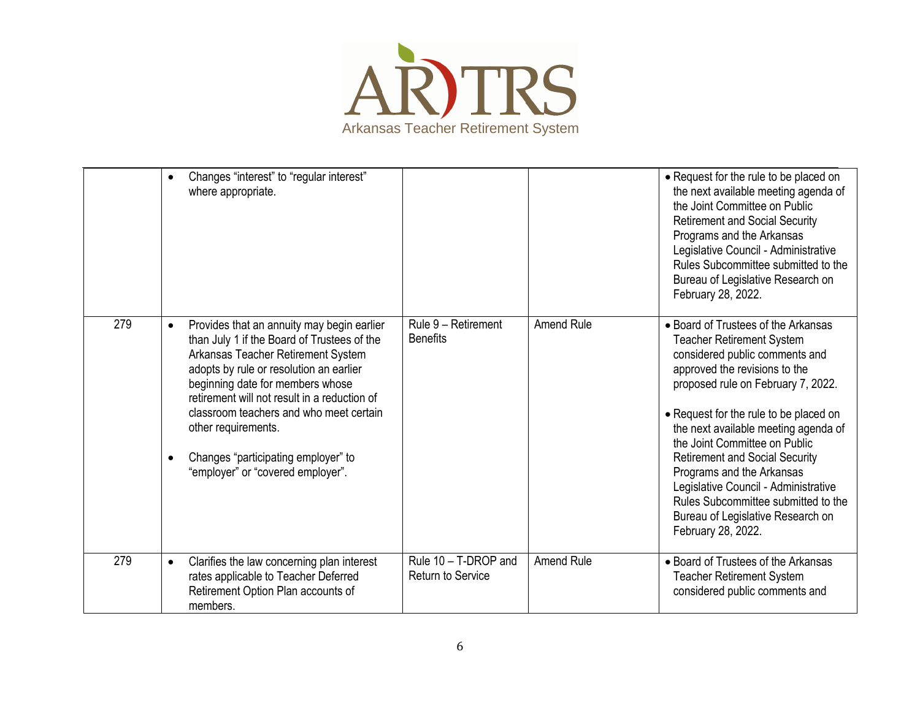

|     | Changes "interest" to "regular interest"<br>$\bullet$<br>where appropriate.                                                                                                                                                                                                                                                                                                                                                            |                                                  |                   | • Request for the rule to be placed on<br>the next available meeting agenda of<br>the Joint Committee on Public<br><b>Retirement and Social Security</b><br>Programs and the Arkansas<br>Legislative Council - Administrative<br>Rules Subcommittee submitted to the<br>Bureau of Legislative Research on<br>February 28, 2022.                                                                                                                                                                                     |
|-----|----------------------------------------------------------------------------------------------------------------------------------------------------------------------------------------------------------------------------------------------------------------------------------------------------------------------------------------------------------------------------------------------------------------------------------------|--------------------------------------------------|-------------------|---------------------------------------------------------------------------------------------------------------------------------------------------------------------------------------------------------------------------------------------------------------------------------------------------------------------------------------------------------------------------------------------------------------------------------------------------------------------------------------------------------------------|
| 279 | Provides that an annuity may begin earlier<br>$\bullet$<br>than July 1 if the Board of Trustees of the<br>Arkansas Teacher Retirement System<br>adopts by rule or resolution an earlier<br>beginning date for members whose<br>retirement will not result in a reduction of<br>classroom teachers and who meet certain<br>other requirements.<br>Changes "participating employer" to<br>$\bullet$<br>"employer" or "covered employer". | Rule 9 - Retirement<br><b>Benefits</b>           | <b>Amend Rule</b> | • Board of Trustees of the Arkansas<br><b>Teacher Retirement System</b><br>considered public comments and<br>approved the revisions to the<br>proposed rule on February 7, 2022.<br>• Request for the rule to be placed on<br>the next available meeting agenda of<br>the Joint Committee on Public<br><b>Retirement and Social Security</b><br>Programs and the Arkansas<br>Legislative Council - Administrative<br>Rules Subcommittee submitted to the<br>Bureau of Legislative Research on<br>February 28, 2022. |
| 279 | Clarifies the law concerning plan interest<br>$\bullet$<br>rates applicable to Teacher Deferred<br>Retirement Option Plan accounts of<br>members.                                                                                                                                                                                                                                                                                      | Rule 10 - T-DROP and<br><b>Return to Service</b> | Amend Rule        | • Board of Trustees of the Arkansas<br><b>Teacher Retirement System</b><br>considered public comments and                                                                                                                                                                                                                                                                                                                                                                                                           |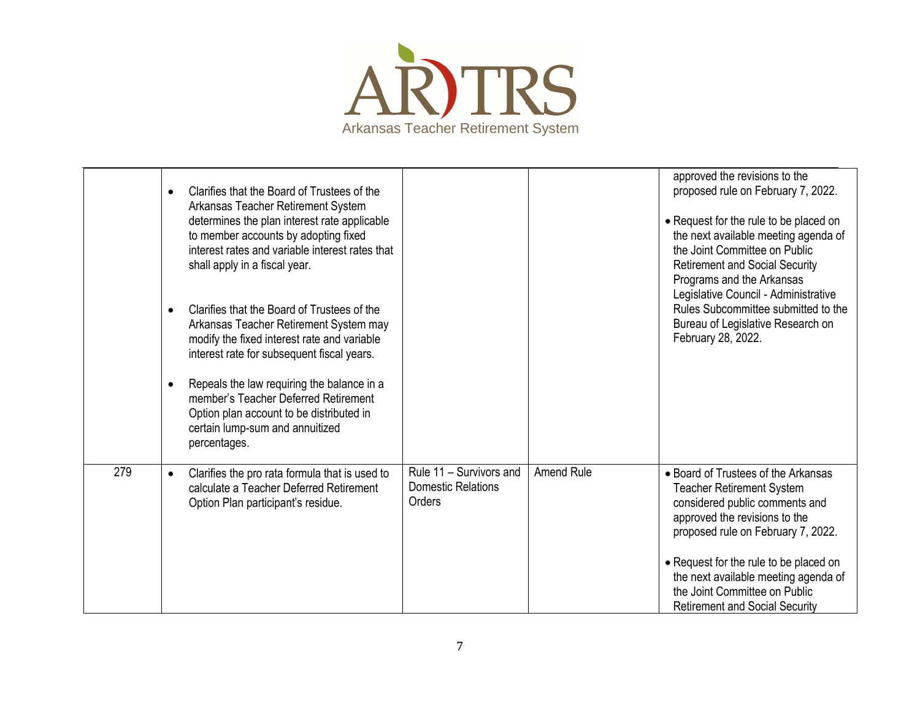

|     | $\bullet$<br>$\bullet$<br>$\bullet$ | Clarifies that the Board of Trustees of the<br>Arkansas Teacher Retirement System<br>determines the plan interest rate applicable<br>to member accounts by adopting fixed<br>interest rates and variable interest rates that<br>shall apply in a fiscal year.<br>Clarifies that the Board of Trustees of the<br>Arkansas Teacher Retirement System may<br>modify the fixed interest rate and variable<br>interest rate for subsequent fiscal years.<br>Repeals the law requiring the balance in a<br>member's Teacher Deferred Retirement<br>Option plan account to be distributed in<br>certain lump-sum and annuitized<br>percentages. |                                                                |            | approved the revisions to the<br>proposed rule on February 7, 2022.<br>• Request for the rule to be placed on<br>the next available meeting agenda of<br>the Joint Committee on Public<br><b>Retirement and Social Security</b><br>Programs and the Arkansas<br>Legislative Council - Administrative<br>Rules Subcommittee submitted to the<br>Bureau of Legislative Research on<br>February 28, 2022. |
|-----|-------------------------------------|------------------------------------------------------------------------------------------------------------------------------------------------------------------------------------------------------------------------------------------------------------------------------------------------------------------------------------------------------------------------------------------------------------------------------------------------------------------------------------------------------------------------------------------------------------------------------------------------------------------------------------------|----------------------------------------------------------------|------------|--------------------------------------------------------------------------------------------------------------------------------------------------------------------------------------------------------------------------------------------------------------------------------------------------------------------------------------------------------------------------------------------------------|
| 279 | $\bullet$                           | Clarifies the pro rata formula that is used to<br>calculate a Teacher Deferred Retirement<br>Option Plan participant's residue.                                                                                                                                                                                                                                                                                                                                                                                                                                                                                                          | Rule 11 - Survivors and<br><b>Domestic Relations</b><br>Orders | Amend Rule | • Board of Trustees of the Arkansas<br><b>Teacher Retirement System</b><br>considered public comments and<br>approved the revisions to the<br>proposed rule on February 7, 2022.<br>• Request for the rule to be placed on<br>the next available meeting agenda of<br>the Joint Committee on Public<br><b>Retirement and Social Security</b>                                                           |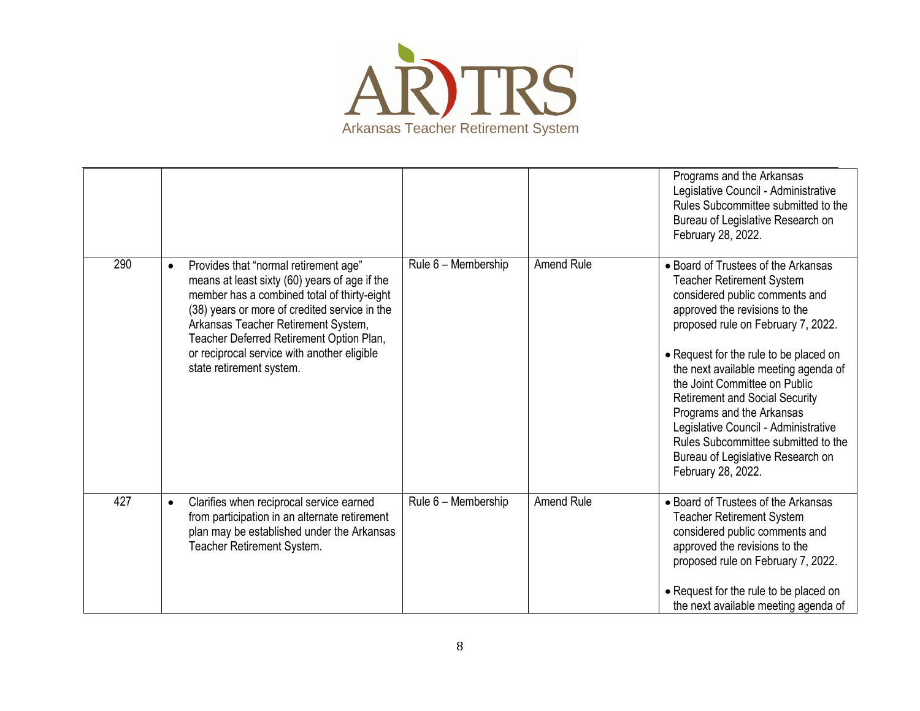

|     |                                                                                                                                                                                                                                                                                                                                                                   |                     |                   | Programs and the Arkansas<br>Legislative Council - Administrative<br>Rules Subcommittee submitted to the<br>Bureau of Legislative Research on<br>February 28, 2022.                                                                                                                                                                                                                                                                                                                                                 |
|-----|-------------------------------------------------------------------------------------------------------------------------------------------------------------------------------------------------------------------------------------------------------------------------------------------------------------------------------------------------------------------|---------------------|-------------------|---------------------------------------------------------------------------------------------------------------------------------------------------------------------------------------------------------------------------------------------------------------------------------------------------------------------------------------------------------------------------------------------------------------------------------------------------------------------------------------------------------------------|
| 290 | Provides that "normal retirement age"<br>$\bullet$<br>means at least sixty (60) years of age if the<br>member has a combined total of thirty-eight<br>(38) years or more of credited service in the<br>Arkansas Teacher Retirement System,<br>Teacher Deferred Retirement Option Plan,<br>or reciprocal service with another eligible<br>state retirement system. | Rule 6 - Membership | <b>Amend Rule</b> | • Board of Trustees of the Arkansas<br><b>Teacher Retirement System</b><br>considered public comments and<br>approved the revisions to the<br>proposed rule on February 7, 2022.<br>• Request for the rule to be placed on<br>the next available meeting agenda of<br>the Joint Committee on Public<br><b>Retirement and Social Security</b><br>Programs and the Arkansas<br>Legislative Council - Administrative<br>Rules Subcommittee submitted to the<br>Bureau of Legislative Research on<br>February 28, 2022. |
| 427 | Clarifies when reciprocal service earned<br>$\bullet$<br>from participation in an alternate retirement<br>plan may be established under the Arkansas<br>Teacher Retirement System.                                                                                                                                                                                | Rule 6 - Membership | Amend Rule        | • Board of Trustees of the Arkansas<br><b>Teacher Retirement System</b><br>considered public comments and<br>approved the revisions to the<br>proposed rule on February 7, 2022.<br>• Request for the rule to be placed on<br>the next available meeting agenda of                                                                                                                                                                                                                                                  |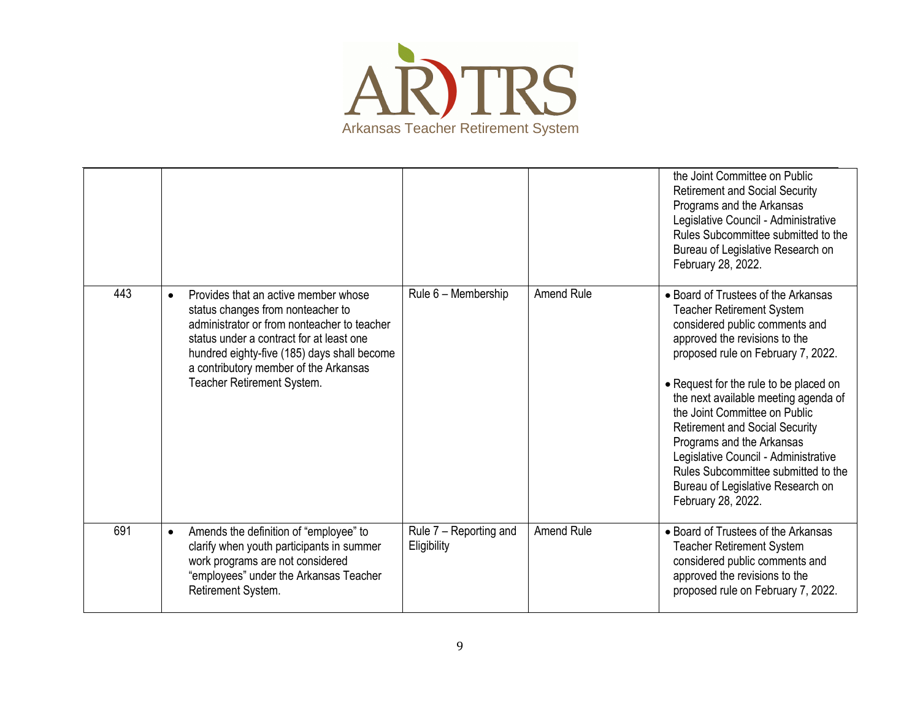

|     |                                                                                                                                                                                                                                                                                                         |                                       |                   | the Joint Committee on Public<br><b>Retirement and Social Security</b><br>Programs and the Arkansas<br>Legislative Council - Administrative<br>Rules Subcommittee submitted to the<br>Bureau of Legislative Research on<br>February 28, 2022.                                                                                                                                                                                                                                                                       |
|-----|---------------------------------------------------------------------------------------------------------------------------------------------------------------------------------------------------------------------------------------------------------------------------------------------------------|---------------------------------------|-------------------|---------------------------------------------------------------------------------------------------------------------------------------------------------------------------------------------------------------------------------------------------------------------------------------------------------------------------------------------------------------------------------------------------------------------------------------------------------------------------------------------------------------------|
| 443 | Provides that an active member whose<br>$\bullet$<br>status changes from nonteacher to<br>administrator or from nonteacher to teacher<br>status under a contract for at least one<br>hundred eighty-five (185) days shall become<br>a contributory member of the Arkansas<br>Teacher Retirement System. | Rule 6 - Membership                   | Amend Rule        | • Board of Trustees of the Arkansas<br><b>Teacher Retirement System</b><br>considered public comments and<br>approved the revisions to the<br>proposed rule on February 7, 2022.<br>• Request for the rule to be placed on<br>the next available meeting agenda of<br>the Joint Committee on Public<br><b>Retirement and Social Security</b><br>Programs and the Arkansas<br>Legislative Council - Administrative<br>Rules Subcommittee submitted to the<br>Bureau of Legislative Research on<br>February 28, 2022. |
| 691 | Amends the definition of "employee" to<br>$\bullet$<br>clarify when youth participants in summer<br>work programs are not considered<br>"employees" under the Arkansas Teacher<br>Retirement System.                                                                                                    | Rule 7 - Reporting and<br>Eligibility | <b>Amend Rule</b> | • Board of Trustees of the Arkansas<br><b>Teacher Retirement System</b><br>considered public comments and<br>approved the revisions to the<br>proposed rule on February 7, 2022.                                                                                                                                                                                                                                                                                                                                    |